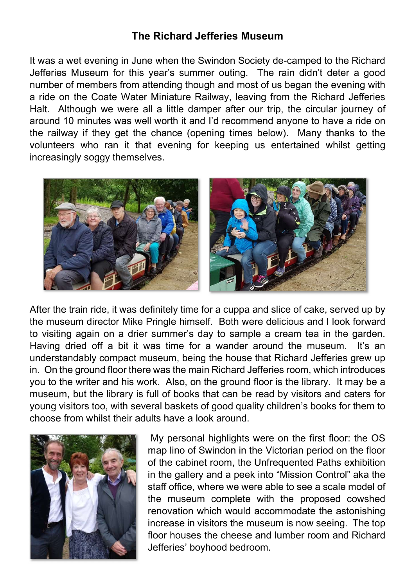## The Richard Jefferies Museum

It was a wet evening in June when the Swindon Society de-camped to the Richard Jefferies Museum for this year's summer outing. The rain didn't deter a good number of members from attending though and most of us began the evening with a ride on the Coate Water Miniature Railway, leaving from the Richard Jefferies Halt. Although we were all a little damper after our trip, the circular journey of around 10 minutes was well worth it and I'd recommend anyone to have a ride on the railway if they get the chance (opening times below). Many thanks to the volunteers who ran it that evening for keeping us entertained whilst getting increasingly soggy themselves.



After the train ride, it was definitely time for a cuppa and slice of cake, served up by the museum director Mike Pringle himself. Both were delicious and I look forward to visiting again on a drier summer's day to sample a cream tea in the garden. Having dried off a bit it was time for a wander around the museum. It's an understandably compact museum, being the house that Richard Jefferies grew up in. On the ground floor there was the main Richard Jefferies room, which introduces you to the writer and his work. Also, on the ground floor is the library. It may be a museum, but the library is full of books that can be read by visitors and caters for young visitors too, with several baskets of good quality children's books for them to choose from whilst their adults have a look around.



 My personal highlights were on the first floor: the OS map lino of Swindon in the Victorian period on the floor of the cabinet room, the Unfrequented Paths exhibition in the gallery and a peek into "Mission Control" aka the staff office, where we were able to see a scale model of the museum complete with the proposed cowshed renovation which would accommodate the astonishing increase in visitors the museum is now seeing. The top floor houses the cheese and lumber room and Richard Jefferies' boyhood bedroom.